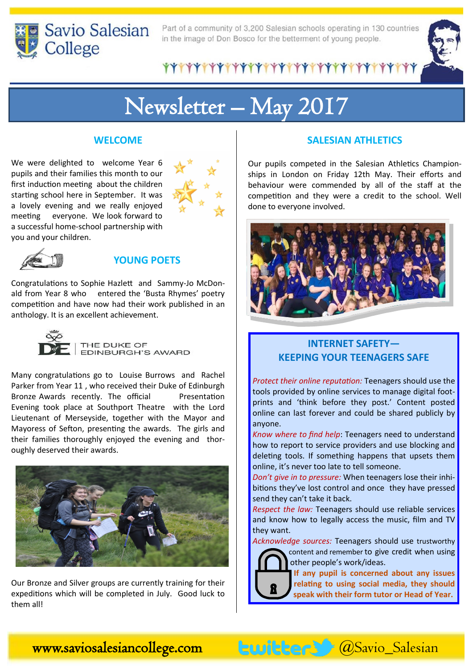

Part of a community of 3,200 Salesian schools operating in 130 countries in the image of Don Bosco for the betterment of young people.

\*\*\*\*\*\*\*\*\*\*\*\*\*\*\*\*\*\*\*\*\*\*\*\*\*\*\*\*\*\*\*\*

# Newsletter – May 2017

#### **WELCOME**

We were delighted to welcome Year 6 pupils and their families this month to our first induction meeting about the children starting school here in September. It was a lovely evening and we really enjoyed meeting everyone. We look forward to a successful home-school partnership with you and your children.





#### **YOUNG POETS**

Congratulations to Sophie Hazlett and Sammy-Jo McDonald from Year 8 who entered the 'Busta Rhymes' poetry competition and have now had their work published in an anthology. It is an excellent achievement.



Many congratulations go to Louise Burrows and Rachel Parker from Year 11 , who received their Duke of Edinburgh Bronze Awards recently. The official Presentation Evening took place at Southport Theatre with the Lord Lieutenant of Merseyside, together with the Mayor and Mayoress of Sefton, presenting the awards. The girls and their families thoroughly enjoyed the evening and thoroughly deserved their awards.



Our Bronze and Silver groups are currently training for their expeditions which will be completed in July. Good luck to them all!

#### **SALESIAN ATHLETICS**

Our pupils competed in the Salesian Athletics Championships in London on Friday 12th May. Their efforts and behaviour were commended by all of the staff at the competition and they were a credit to the school. Well done to everyone involved.



### **INTERNET SAFETY— KEEPING YOUR TEENAGERS SAFE**

*Protect their online reputation:* Teenagers should use the tools provided by online services to manage digital footprints and 'think before they post.' Content posted online can last forever and could be shared publicly by anyone.

*Know where to find help*: Teenagers need to understand how to report to service providers and use blocking and deleting tools. If something happens that upsets them online, it's never too late to tell someone.

*Don't give in to pressure:* When teenagers lose their inhibitions they've lost control and once they have pressed send they can't take it back.

*Respect the law:* Teenagers should use reliable services and know how to legally access the music, film and TV they want.

*Acknowledge sources:* Teenagers should use trustworthy



**If any pupil is concerned about any issues relating to using social media, they should speak with their form tutor or Head of Year.**

www.saviosalesiancollege.com @Savio\_Salesian